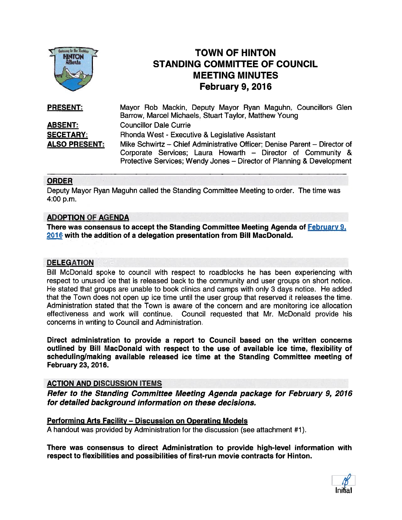

# TOWN OF HINTON STANDING COMMITTEE OF COUNCIL MEETING MINUTES February 9, 2016

| <b>PRESENT:</b>      | Mayor Rob Mackin, Deputy Mayor Ryan Maguhn, Councillors Glen              |
|----------------------|---------------------------------------------------------------------------|
|                      | Barrow, Marcel Michaels, Stuart Taylor, Matthew Young                     |
| <b>ABSENT:</b>       | <b>Councillor Dale Currie</b>                                             |
| <b>SECETARY:</b>     | Rhonda West - Executive & Legislative Assistant                           |
| <b>ALSO PRESENT:</b> | Mike Schwirtz - Chief Administrative Officer; Denise Parent - Director of |
|                      | Corporate Services; Laura Howarth - Director of Community &               |
|                      | Protective Services; Wendy Jones - Director of Planning & Development     |

### ORDER

Deputy Mayor Ryan Maguhn called the Standing Committee Meeting to order. The time was 4:00 p.m.

### ADOPTION OF AGENDA

There was consensus to accept the Standing Committee Meeting Agenda of **February 9**, <sup>2016</sup> with the addition of <sup>a</sup> delegation presentation from Bill MacDonald.

#### **DELEGATION**

Bill McDonald spoke to council with respec<sup>t</sup> to roadblocks he has been experiencing with respec<sup>t</sup> to unused ice that is released back to the community and user groups on short notice. He stated that groups are unable to book clinics and camps with only 3 days notice. He added that the Town does not open up ice time until the user group that reserved it releases the time. Administration stated that the Town is aware of the concern and are monitoring ice allocation effectiveness and work will continue. Council requested that Mr. McDonald provide his concerns in writing to Council and Administration.

Direct administration to provide <sup>a</sup> repor<sup>t</sup> to Council based on the written concerns outlined by Bill MacDonald with respec<sup>t</sup> to the use of available ice time, flexibility of scheduling/making available released ice time at the Standing Committee meeting of February 23, 2016.

#### ACTION AND DISCUSSION ITEMS

Refer to the Standing Committee Meeting Agenda package for February 9, 2016 for detailed background information on these decisions.

#### Performing Arts Facility — Discussion on Operating Models

A handout was provided by Administration for the discussion (see attachment #1).

There was consensus to direct Administration to provide high-level information with respec<sup>t</sup> to flexibilities and possibilities of first-run movie contracts for Hinton.